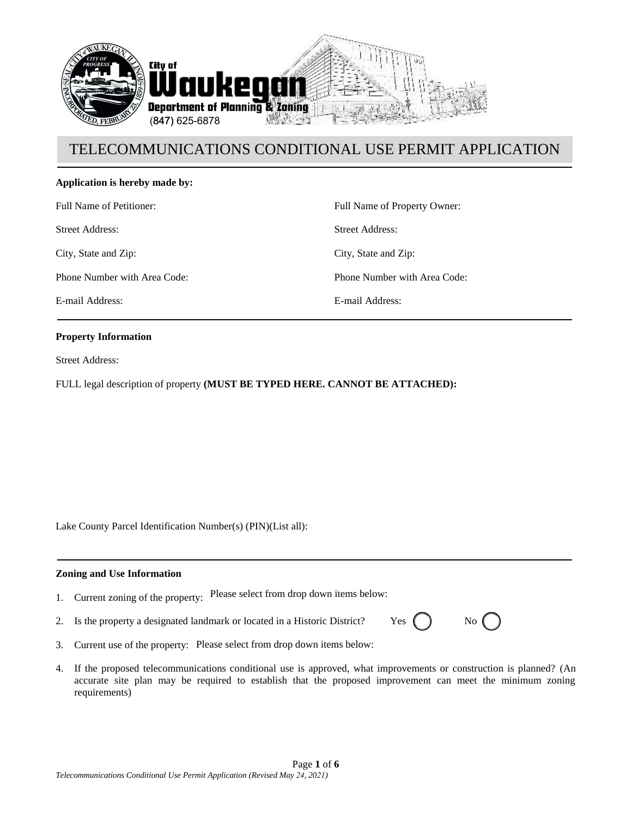

#### **Application is hereby made by:**

Full Name of Petitioner:

Street Address:

City, State and Zip:

Phone Number with Area Code:

E-mail Address:

Full Name of Property Owner: Street Address: City, State and Zip: Phone Number with Area Code: E-mail Address:

#### **Property Information**

Street Address:

FULL legal description of property **(MUST BE TYPED HERE. CANNOT BE ATTACHED):**

Lake County Parcel Identification Number(s) (PIN)(List all):

#### **Zoning and Use Information**

- 1. Current zoning of the property: Please select from drop down items below:
- 2. Is the property a designated landmark or located in a Historic District? Yes  $\left($

| No |
|----|
|    |

- 3. Current use of the property: Please select from drop down items below:
- 4. If the proposed telecommunications conditional use is approved, what improvements or construction is planned? (An accurate site plan may be required to establish that the proposed improvement can meet the minimum zoning requirements)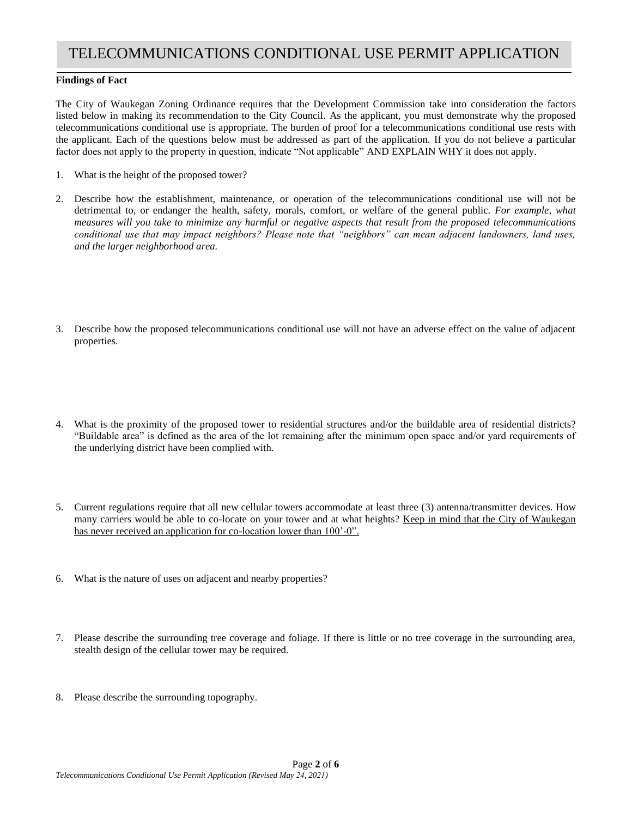#### **Findings of Fact**

The City of Waukegan Zoning Ordinance requires that the Development Commission take into consideration the factors listed below in making its recommendation to the City Council. As the applicant, you must demonstrate why the proposed telecommunications conditional use is appropriate. The burden of proof for a telecommunications conditional use rests with the applicant. Each of the questions below must be addressed as part of the application. If you do not believe a particular factor does not apply to the property in question, indicate "Not applicable" AND EXPLAIN WHY it does not apply.

- 1. What is the height of the proposed tower?
- 2. Describe how the establishment, maintenance, or operation of the telecommunications conditional use will not be detrimental to, or endanger the health, safety, morals, comfort, or welfare of the general public. *For example, what measures will you take to minimize any harmful or negative aspects that result from the proposed telecommunications conditional use that may impact neighbors? Please note that "neighbors" can mean adjacent landowners, land uses, and the larger neighborhood area.*
- 3. Describe how the proposed telecommunications conditional use will not have an adverse effect on the value of adjacent properties.
- 4. What is the proximity of the proposed tower to residential structures and/or the buildable area of residential districts? "Buildable area" is defined as the area of the lot remaining after the minimum open space and/or yard requirements of the underlying district have been complied with.
- 5. Current regulations require that all new cellular towers accommodate at least three (3) antenna/transmitter devices. How many carriers would be able to co-locate on your tower and at what heights? Keep in mind that the City of Waukegan has never received an application for co-location lower than 100'-0".
- 6. What is the nature of uses on adjacent and nearby properties?
- 7. Please describe the surrounding tree coverage and foliage. If there is little or no tree coverage in the surrounding area, stealth design of the cellular tower may be required.
- 8. Please describe the surrounding topography.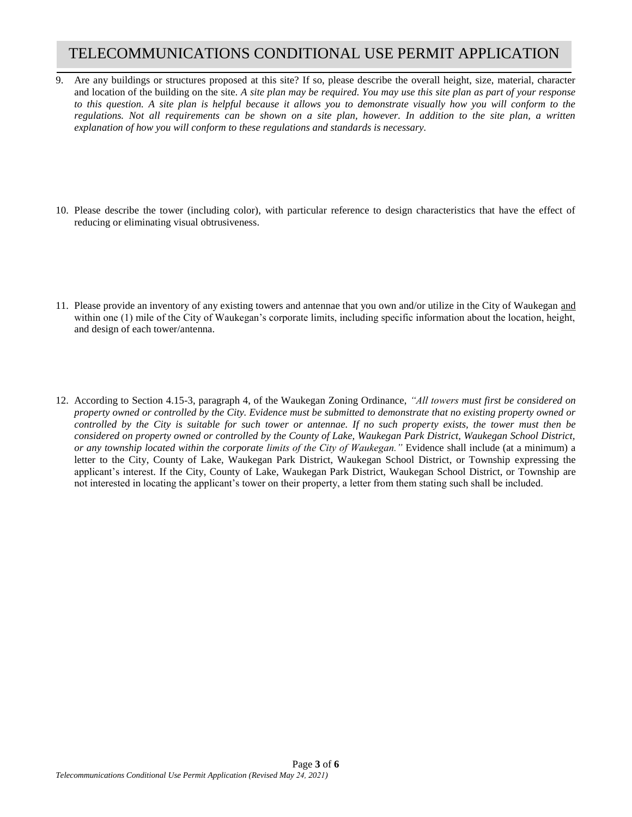- 9. Are any buildings or structures proposed at this site? If so, please describe the overall height, size, material, character and location of the building on the site. *A site plan may be required. You may use this site plan as part of your response to this question. A site plan is helpful because it allows you to demonstrate visually how you will conform to the regulations. Not all requirements can be shown on a site plan, however. In addition to the site plan, a written explanation of how you will conform to these regulations and standards is necessary.*
- 10. Please describe the tower (including color), with particular reference to design characteristics that have the effect of reducing or eliminating visual obtrusiveness.
- 11. Please provide an inventory of any existing towers and antennae that you own and/or utilize in the City of Waukegan and within one (1) mile of the City of Waukegan's corporate limits, including specific information about the location, height, and design of each tower/antenna.
- 12. According to Section 4.15-3, paragraph 4, of the Waukegan Zoning Ordinance, *"All towers must first be considered on property owned or controlled by the City. Evidence must be submitted to demonstrate that no existing property owned or controlled by the City is suitable for such tower or antennae. If no such property exists, the tower must then be considered on property owned or controlled by the County of Lake, Waukegan Park District, Waukegan School District, or any township located within the corporate limits of the City of Waukegan."* Evidence shall include (at a minimum) a letter to the City, County of Lake, Waukegan Park District, Waukegan School District, or Township expressing the applicant's interest. If the City, County of Lake, Waukegan Park District, Waukegan School District, or Township are not interested in locating the applicant's tower on their property, a letter from them stating such shall be included.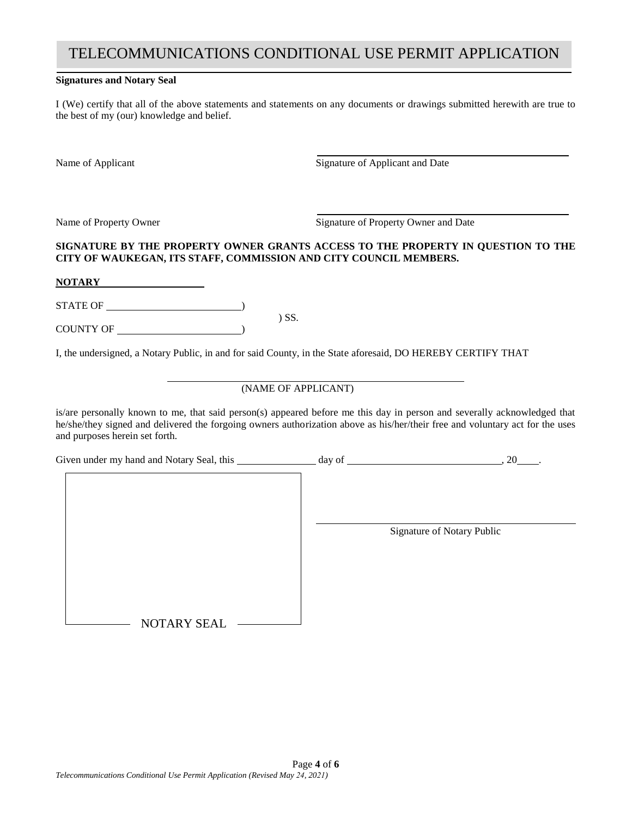#### **Signatures and Notary Seal**

I (We) certify that all of the above statements and statements on any documents or drawings submitted herewith are true to the best of my (our) knowledge and belief.

Name of Applicant Signature of Applicant and Date

Name of Property Owner Signature of Property Owner and Date

#### **SIGNATURE BY THE PROPERTY OWNER GRANTS ACCESS TO THE PROPERTY IN QUESTION TO THE CITY OF WAUKEGAN, ITS STAFF, COMMISSION AND CITY COUNCIL MEMBERS.**

**NOTARY**

STATE OF  $\overline{\phantom{a}}$ ) SS.

COUNTY OF )

I, the undersigned, a Notary Public, in and for said County, in the State aforesaid, DO HEREBY CERTIFY THAT

### (NAME OF APPLICANT)

is/are personally known to me, that said person(s) appeared before me this day in person and severally acknowledged that he/she/they signed and delivered the forgoing owners authorization above as his/her/their free and voluntary act for the uses and purposes herein set forth.

Given under my hand and Notary Seal, this day of day of  $\frac{1}{2}$ , 20 ... Signature of Notary Public - NOTARY SEAL -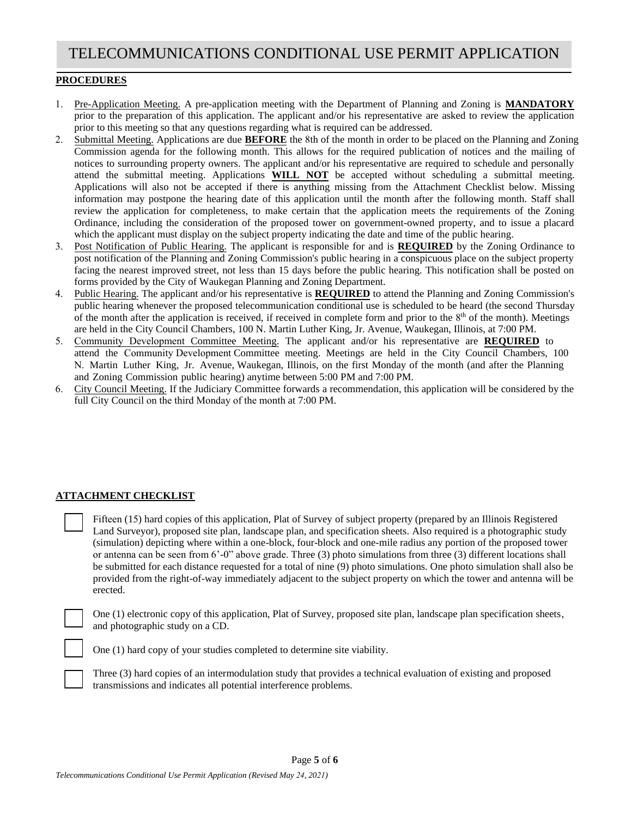#### **PROCEDURES**

- 1. Pre-Application Meeting. A pre-application meeting with the Department of Planning and Zoning is **MANDATORY** prior to the preparation of this application. The applicant and/or his representative are asked to review the application prior to this meeting so that any questions regarding what is required can be addressed.
- 2. Submittal Meeting. Applications are due **BEFORE** the 8th of the month in order to be placed on the Planning and Zoning Commission agenda for the following month. This allows for the required publication of notices and the mailing of notices to surrounding property owners. The applicant and/or his representative are required to schedule and personally attend the submittal meeting. Applications **WILL NOT** be accepted without scheduling a submittal meeting. Applications will also not be accepted if there is anything missing from the Attachment Checklist below. Missing information may postpone the hearing date of this application until the month after the following month. Staff shall review the application for completeness, to make certain that the application meets the requirements of the Zoning Ordinance, including the consideration of the proposed tower on government-owned property, and to issue a placard which the applicant must display on the subject property indicating the date and time of the public hearing.
- 3. Post Notification of Public Hearing. The applicant is responsible for and is **REQUIRED** by the Zoning Ordinance to post notification of the Planning and Zoning Commission's public hearing in a conspicuous place on the subject property facing the nearest improved street, not less than 15 days before the public hearing. This notification shall be posted on forms provided by the City of Waukegan Planning and Zoning Department.
- 4. Public Hearing. The applicant and/or his representative is **REQUIRED** to attend the Planning and Zoning Commission's public hearing whenever the proposed telecommunication conditional use is scheduled to be heard (the second Thursday of the month after the application is received, if received in complete form and prior to the  $8<sup>th</sup>$  of the month). Meetings are held in the City Council Chambers, 100 N. Martin Luther King, Jr. Avenue, Waukegan, Illinois, at 7:00 PM.
- 5. Community Development Committee Meeting. The applicant and/or his representative are **REQUIRED** to attend the Community Development Committee meeting. Meetings are held in the City Council Chambers, 100 N. Martin Luther King, Jr. Avenue, Waukegan, Illinois, on the first Monday of the month (and after the Planning and Zoning Commission public hearing) anytime between 5:00 PM and 7:00 PM.
- 6. City Council Meeting. If the Judiciary Committee forwards a recommendation, this application will be considered by the full City Council on the third Monday of the month at 7:00 PM.

#### **ATTACHMENT CHECKLIST**

Fifteen (15) hard copies of this application, Plat of Survey of subject property (prepared by an Illinois Registered Land Surveyor), proposed site plan, landscape plan, and specification sheets. Also required is a photographic study (simulation) depicting where within a one-block, four-block and one-mile radius any portion of the proposed tower or antenna can be seen from 6'-0" above grade. Three (3) photo simulations from three (3) different locations shall be submitted for each distance requested for a total of nine (9) photo simulations. One photo simulation shall also be provided from the right-of-way immediately adjacent to the subject property on which the tower and antenna will be erected.

One (1) electronic copy of this application, Plat of Survey, proposed site plan, landscape plan specification sheets, and photographic study on a CD.

One (1) hard copy of your studies completed to determine site viability.

Three (3) hard copies of an intermodulation study that provides a technical evaluation of existing and proposed transmissions and indicates all potential interference problems.